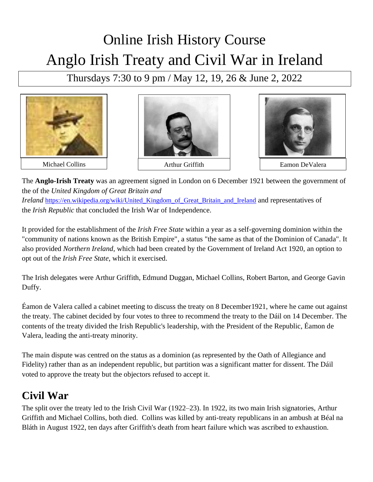## Online Irish History Course Anglo Irish Treaty and Civil War in Ireland

Thursdays 7:30 to 9 pm / May 12, 19, 26 & June 2, 2022







The **Anglo-Irish Treaty** was an agreement signed in London on 6 December 1921 between the government of the of the *[United Kingdom of Great Britain and](https://en.wikipedia.org/wiki/United_Kingdom_of_Great_Britain_and_Ireland)  [Ireland](https://en.wikipedia.org/wiki/United_Kingdom_of_Great_Britain_and_Ireland)* https://en.wikipedia.org/wiki/United Kingdom of Great Britain and Ireland and representatives of the *[Irish Republic](https://en.wikipedia.org/wiki/Irish_Republic)* that concluded the [Irish War of Independence.](https://en.wikipedia.org/wiki/Irish_War_of_Independence)

It provided for the establishment of the *[Irish Free State](https://en.wikipedia.org/wiki/Irish_Free_State)* within a year as a self-governing [dominion](https://en.wikipedia.org/wiki/Dominion) within the "community of nations known as the [British Empire"](https://en.wikipedia.org/wiki/British_Empire), a status "the same as that of the Dominion of [Canada"](https://en.wikipedia.org/wiki/Canada). It also provided *[Northern Ireland](https://en.wikipedia.org/wiki/Northern_Ireland)*, which had been created by the [Government of Ireland Act 1920,](https://en.wikipedia.org/wiki/Government_of_Ireland_Act_1920) an option to opt out of the *Irish Free State*, which it exercised.

The Irish delegates were Arthur Griffith, Edmund Duggan, Michael Collins, Robert Barton, and George Gavin Duffy.

Éamon de Valera called a cabinet meeting to discuss the treaty on 8 December1921, where he came out against the treaty. The cabinet decided by four votes to three to recommend the treaty to the Dáil on 14 December. The contents of the treaty divided the Irish Republic's leadership, with the [President of the Republic,](https://en.wikipedia.org/wiki/President_of_the_Irish_Republic) Éamon de Valera, leading the anti-treaty minority.

The main dispute was centred on the status as a dominion (as represented by the Oath of Allegiance and Fidelity) rather than as an independent [republic,](https://en.wikipedia.org/wiki/Republic) but partition was a significant matter for dissent. The Dáil voted to approve the treaty but the objectors refused to accept it.

## **Civil War**

The split over the treaty led to the [Irish Civil War](https://en.wikipedia.org/wiki/Irish_Civil_War) (1922–23). In 1922, its two main Irish signatories, Arthur Griffith and Michael Collins, both died. Collins was killed by anti-treaty republicans in an ambush at [Béal na](https://en.wikipedia.org/wiki/B%C3%A9al_na_Bl%C3%A1th)  [Bláth](https://en.wikipedia.org/wiki/B%C3%A9al_na_Bl%C3%A1th) in August 1922, ten days after Griffith's death from heart failure which was ascribed to exhaustion.